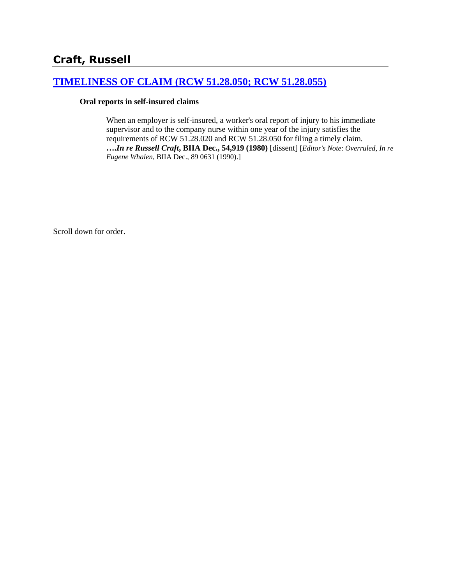# **[TIMELINESS OF CLAIM \(RCW 51.28.050; RCW 51.28.055\)](http://www.biia.wa.gov/SDSubjectIndex.html#TIMELINESS_OF_CLAIM)**

### **Oral reports in self-insured claims**

When an employer is self-insured, a worker's oral report of injury to his immediate supervisor and to the company nurse within one year of the injury satisfies the requirements of RCW 51.28.020 and RCW 51.28.050 for filing a timely claim. **….***In re Russell Craft***, BIIA Dec., 54,919 (1980)** [dissent] [*Editor's Note*: *Overruled*, *In re Eugene Whalen*, BIIA Dec., 89 0631 (1990).]

Scroll down for order.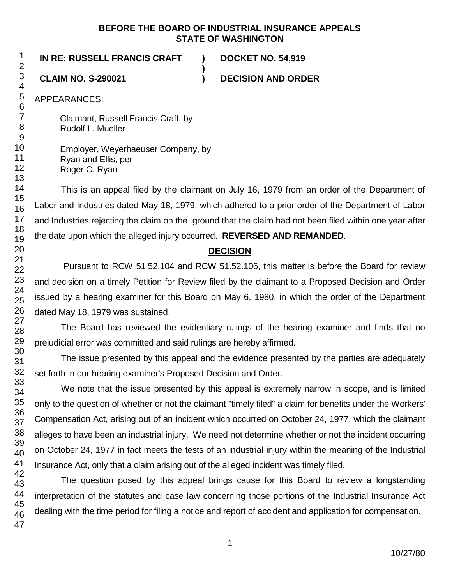### **BEFORE THE BOARD OF INDUSTRIAL INSURANCE APPEALS STATE OF WASHINGTON**

**)**

## **IN RE: RUSSELL FRANCIS CRAFT ) DOCKET NO. 54,919**

**CLAIM NO. S-290021 ) DECISION AND ORDER**

APPEARANCES:

Claimant, Russell Francis Craft, by Rudolf L. Mueller

Employer, Weyerhaeuser Company, by Ryan and Ellis, per Roger C. Ryan

This is an appeal filed by the claimant on July 16, 1979 from an order of the Department of Labor and Industries dated May 18, 1979, which adhered to a prior order of the Department of Labor and Industries rejecting the claim on the ground that the claim had not been filed within one year after the date upon which the alleged injury occurred. **REVERSED AND REMANDED**.

## **DECISION**

Pursuant to RCW 51.52.104 and RCW 51.52.106, this matter is before the Board for review and decision on a timely Petition for Review filed by the claimant to a Proposed Decision and Order issued by a hearing examiner for this Board on May 6, 1980, in which the order of the Department dated May 18, 1979 was sustained.

The Board has reviewed the evidentiary rulings of the hearing examiner and finds that no prejudicial error was committed and said rulings are hereby affirmed.

The issue presented by this appeal and the evidence presented by the parties are adequately set forth in our hearing examiner's Proposed Decision and Order.

We note that the issue presented by this appeal is extremely narrow in scope, and is limited only to the question of whether or not the claimant "timely filed" a claim for benefits under the Workers' Compensation Act, arising out of an incident which occurred on October 24, 1977, which the claimant alleges to have been an industrial injury. We need not determine whether or not the incident occurring on October 24, 1977 in fact meets the tests of an industrial injury within the meaning of the Industrial Insurance Act, only that a claim arising out of the alleged incident was timely filed.

The question posed by this appeal brings cause for this Board to review a longstanding interpretation of the statutes and case law concerning those portions of the Industrial Insurance Act dealing with the time period for filing a notice and report of accident and application for compensation.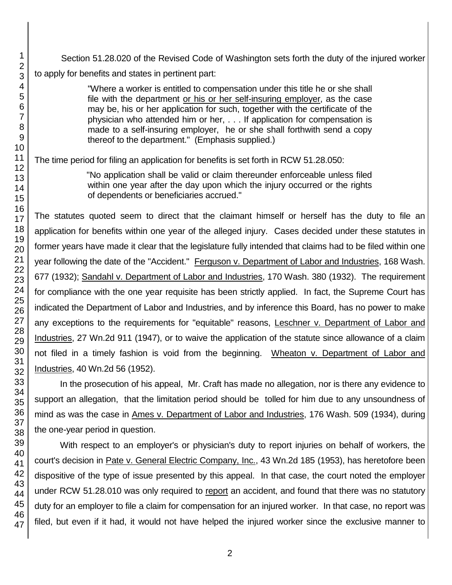Section 51.28.020 of the Revised Code of Washington sets forth the duty of the injured worker to apply for benefits and states in pertinent part:

> "Where a worker is entitled to compensation under this title he or she shall file with the department or his or her self-insuring employer, as the case may be, his or her application for such, together with the certificate of the physician who attended him or her, . . . If application for compensation is made to a self-insuring employer, he or she shall forthwith send a copy thereof to the department." (Emphasis supplied.)

The time period for filing an application for benefits is set forth in RCW 51.28.050:

"No application shall be valid or claim thereunder enforceable unless filed within one year after the day upon which the injury occurred or the rights of dependents or beneficiaries accrued."

The statutes quoted seem to direct that the claimant himself or herself has the duty to file an application for benefits within one year of the alleged injury. Cases decided under these statutes in former years have made it clear that the legislature fully intended that claims had to be filed within one year following the date of the "Accident." Ferguson v. Department of Labor and Industries, 168 Wash. 677 (1932); Sandahl v. Department of Labor and Industries, 170 Wash. 380 (1932). The requirement for compliance with the one year requisite has been strictly applied. In fact, the Supreme Court has indicated the Department of Labor and Industries, and by inference this Board, has no power to make any exceptions to the requirements for "equitable" reasons, Leschner v. Department of Labor and Industries, 27 Wn.2d 911 (1947), or to waive the application of the statute since allowance of a claim not filed in a timely fashion is void from the beginning. Wheaton v. Department of Labor and Industries, 40 Wn.2d 56 (1952).

In the prosecution of his appeal, Mr. Craft has made no allegation, nor is there any evidence to support an allegation, that the limitation period should be tolled for him due to any unsoundness of mind as was the case in Ames v. Department of Labor and Industries, 176 Wash. 509 (1934), during the one-year period in question.

With respect to an employer's or physician's duty to report injuries on behalf of workers, the court's decision in Pate v. General Electric Company, Inc., 43 Wn.2d 185 (1953), has heretofore been dispositive of the type of issue presented by this appeal. In that case, the court noted the employer under RCW 51.28.010 was only required to report an accident, and found that there was no statutory duty for an employer to file a claim for compensation for an injured worker. In that case, no report was filed, but even if it had, it would not have helped the injured worker since the exclusive manner to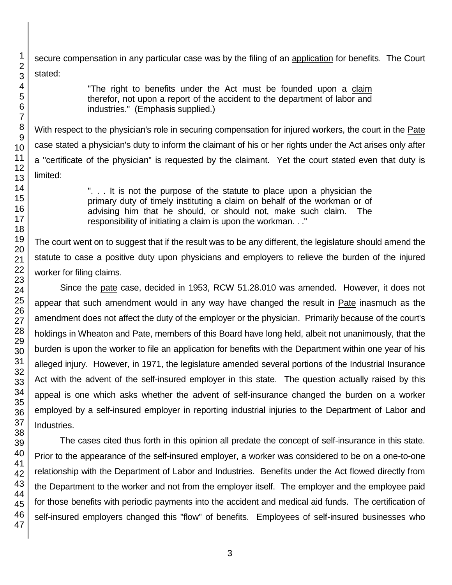secure compensation in any particular case was by the filing of an application for benefits. The Court stated:

> "The right to benefits under the Act must be founded upon a claim therefor, not upon a report of the accident to the department of labor and industries." (Emphasis supplied.)

With respect to the physician's role in securing compensation for injured workers, the court in the Pate case stated a physician's duty to inform the claimant of his or her rights under the Act arises only after a "certificate of the physician" is requested by the claimant. Yet the court stated even that duty is limited:

> ". . . It is not the purpose of the statute to place upon a physician the primary duty of timely instituting a claim on behalf of the workman or of advising him that he should, or should not, make such claim. The responsibility of initiating a claim is upon the workman. . ."

The court went on to suggest that if the result was to be any different, the legislature should amend the statute to case a positive duty upon physicians and employers to relieve the burden of the injured worker for filing claims.

Since the pate case, decided in 1953, RCW 51.28.010 was amended. However, it does not appear that such amendment would in any way have changed the result in Pate inasmuch as the amendment does not affect the duty of the employer or the physician. Primarily because of the court's holdings in Wheaton and Pate, members of this Board have long held, albeit not unanimously, that the burden is upon the worker to file an application for benefits with the Department within one year of his alleged injury. However, in 1971, the legislature amended several portions of the Industrial Insurance Act with the advent of the self-insured employer in this state. The question actually raised by this appeal is one which asks whether the advent of self-insurance changed the burden on a worker employed by a self-insured employer in reporting industrial injuries to the Department of Labor and Industries.

The cases cited thus forth in this opinion all predate the concept of self-insurance in this state. Prior to the appearance of the self-insured employer, a worker was considered to be on a one-to-one relationship with the Department of Labor and Industries. Benefits under the Act flowed directly from the Department to the worker and not from the employer itself. The employer and the employee paid for those benefits with periodic payments into the accident and medical aid funds. The certification of self-insured employers changed this "flow" of benefits. Employees of self-insured businesses who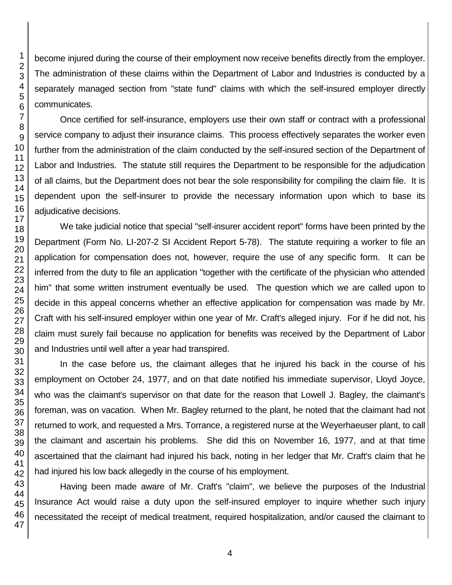become injured during the course of their employment now receive benefits directly from the employer. The administration of these claims within the Department of Labor and Industries is conducted by a separately managed section from "state fund" claims with which the self-insured employer directly communicates.

Once certified for self-insurance, employers use their own staff or contract with a professional service company to adjust their insurance claims. This process effectively separates the worker even further from the administration of the claim conducted by the self-insured section of the Department of Labor and Industries. The statute still requires the Department to be responsible for the adjudication of all claims, but the Department does not bear the sole responsibility for compiling the claim file. It is dependent upon the self-insurer to provide the necessary information upon which to base its adjudicative decisions.

We take judicial notice that special "self-insurer accident report" forms have been printed by the Department (Form No. LI-207-2 SI Accident Report 5-78). The statute requiring a worker to file an application for compensation does not, however, require the use of any specific form. It can be inferred from the duty to file an application "together with the certificate of the physician who attended him" that some written instrument eventually be used. The question which we are called upon to decide in this appeal concerns whether an effective application for compensation was made by Mr. Craft with his self-insured employer within one year of Mr. Craft's alleged injury. For if he did not, his claim must surely fail because no application for benefits was received by the Department of Labor and Industries until well after a year had transpired.

In the case before us, the claimant alleges that he injured his back in the course of his employment on October 24, 1977, and on that date notified his immediate supervisor, Lloyd Joyce, who was the claimant's supervisor on that date for the reason that Lowell J. Bagley, the claimant's foreman, was on vacation. When Mr. Bagley returned to the plant, he noted that the claimant had not returned to work, and requested a Mrs. Torrance, a registered nurse at the Weyerhaeuser plant, to call the claimant and ascertain his problems. She did this on November 16, 1977, and at that time ascertained that the claimant had injured his back, noting in her ledger that Mr. Craft's claim that he had injured his low back allegedly in the course of his employment.

Having been made aware of Mr. Craft's "claim", we believe the purposes of the Industrial Insurance Act would raise a duty upon the self-insured employer to inquire whether such injury necessitated the receipt of medical treatment, required hospitalization, and/or caused the claimant to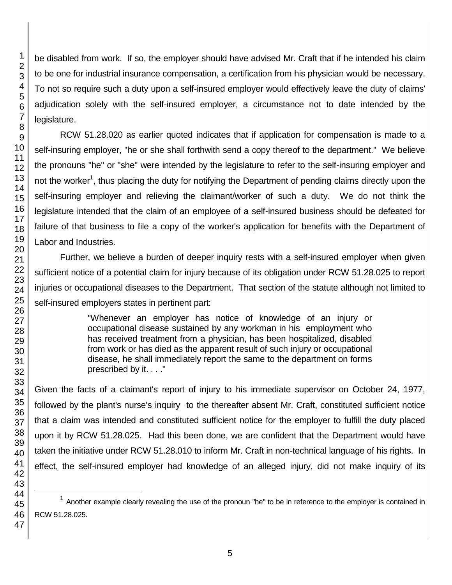be disabled from work. If so, the employer should have advised Mr. Craft that if he intended his claim to be one for industrial insurance compensation, a certification from his physician would be necessary. To not so require such a duty upon a self-insured employer would effectively leave the duty of claims' adjudication solely with the self-insured employer, a circumstance not to date intended by the legislature.

RCW 51.28.020 as earlier quoted indicates that if application for compensation is made to a self-insuring employer, "he or she shall forthwith send a copy thereof to the department." We believe the pronouns "he" or "she" were intended by the legislature to refer to the self-insuring employer and not the worker<sup>1</sup>, thus placing the duty for notifying the Department of pending claims directly upon the self-insuring employer and relieving the claimant/worker of such a duty. We do not think the legislature intended that the claim of an employee of a self-insured business should be defeated for failure of that business to file a copy of the worker's application for benefits with the Department of Labor and Industries.

Further, we believe a burden of deeper inquiry rests with a self-insured employer when given sufficient notice of a potential claim for injury because of its obligation under RCW 51.28.025 to report injuries or occupational diseases to the Department. That section of the statute although not limited to self-insured employers states in pertinent part:

> "Whenever an employer has notice of knowledge of an injury or occupational disease sustained by any workman in his employment who has received treatment from a physician, has been hospitalized, disabled from work or has died as the apparent result of such injury or occupational disease, he shall immediately report the same to the department on forms prescribed by it. . . ."

Given the facts of a claimant's report of injury to his immediate supervisor on October 24, 1977, followed by the plant's nurse's inquiry to the thereafter absent Mr. Craft, constituted sufficient notice that a claim was intended and constituted sufficient notice for the employer to fulfill the duty placed upon it by RCW 51.28.025. Had this been done, we are confident that the Department would have taken the initiative under RCW 51.28.010 to inform Mr. Craft in non-technical language of his rights. In effect, the self-insured employer had knowledge of an alleged injury, did not make inquiry of its

l

 Another example clearly revealing the use of the pronoun "he" to be in reference to the employer is contained in RCW 51.28.025.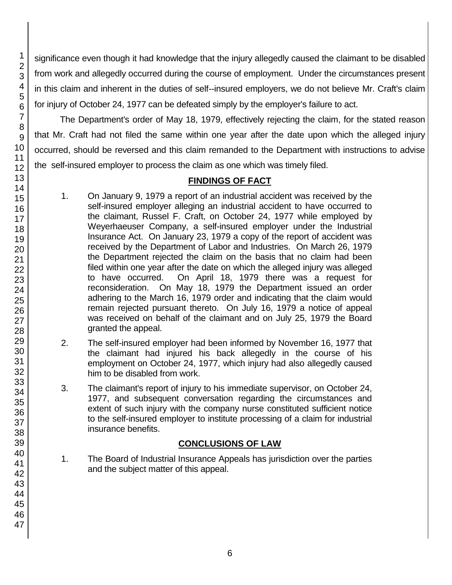significance even though it had knowledge that the injury allegedly caused the claimant to be disabled from work and allegedly occurred during the course of employment. Under the circumstances present in this claim and inherent in the duties of self--insured employers, we do not believe Mr. Craft's claim for injury of October 24, 1977 can be defeated simply by the employer's failure to act.

The Department's order of May 18, 1979, effectively rejecting the claim, for the stated reason that Mr. Craft had not filed the same within one year after the date upon which the alleged injury occurred, should be reversed and this claim remanded to the Department with instructions to advise the self-insured employer to process the claim as one which was timely filed.

# **FINDINGS OF FACT**

- 1. On January 9, 1979 a report of an industrial accident was received by the self-insured employer alleging an industrial accident to have occurred to the claimant, Russel F. Craft, on October 24, 1977 while employed by Weyerhaeuser Company, a self-insured employer under the Industrial Insurance Act. On January 23, 1979 a copy of the report of accident was received by the Department of Labor and Industries. On March 26, 1979 the Department rejected the claim on the basis that no claim had been filed within one year after the date on which the alleged injury was alleged to have occurred. On April 18, 1979 there was a request for reconsideration. On May 18, 1979 the Department issued an order adhering to the March 16, 1979 order and indicating that the claim would remain rejected pursuant thereto. On July 16, 1979 a notice of appeal was received on behalf of the claimant and on July 25, 1979 the Board granted the appeal.
- 2. The self-insured employer had been informed by November 16, 1977 that the claimant had injured his back allegedly in the course of his employment on October 24, 1977, which injury had also allegedly caused him to be disabled from work.
- 3. The claimant's report of injury to his immediate supervisor, on October 24, 1977, and subsequent conversation regarding the circumstances and extent of such injury with the company nurse constituted sufficient notice to the self-insured employer to institute processing of a claim for industrial insurance benefits.

# **CONCLUSIONS OF LAW**

1. The Board of Industrial Insurance Appeals has jurisdiction over the parties and the subject matter of this appeal.